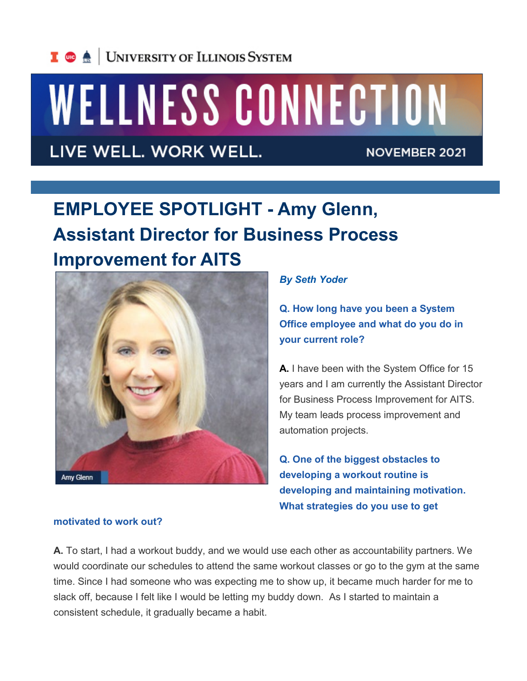

# WELLNESS CONNECTION

LIVE WELL. WORK WELL.

**NOVEMBER 2021** 

# **EMPLOYEE SPOTLIGHT - Amy Glenn, Assistant Director for Business Process Improvement for AITS**



*By Seth Yoder*

**Q. How long have you been a System Office employee and what do you do in your current role?**

**A.** I have been with the System Office for 15 years and I am currently the Assistant Director for Business Process Improvement for AITS. My team leads process improvement and automation projects.

**Q. One of the biggest obstacles to developing a workout routine is developing and maintaining motivation. What strategies do you use to get** 

#### **motivated to work out?**

**A.** To start, I had a workout buddy, and we would use each other as accountability partners. We would coordinate our schedules to attend the same workout classes or go to the gym at the same time. Since I had someone who was expecting me to show up, it became much harder for me to slack off, because I felt like I would be letting my buddy down. As I started to maintain a consistent schedule, it gradually became a habit.